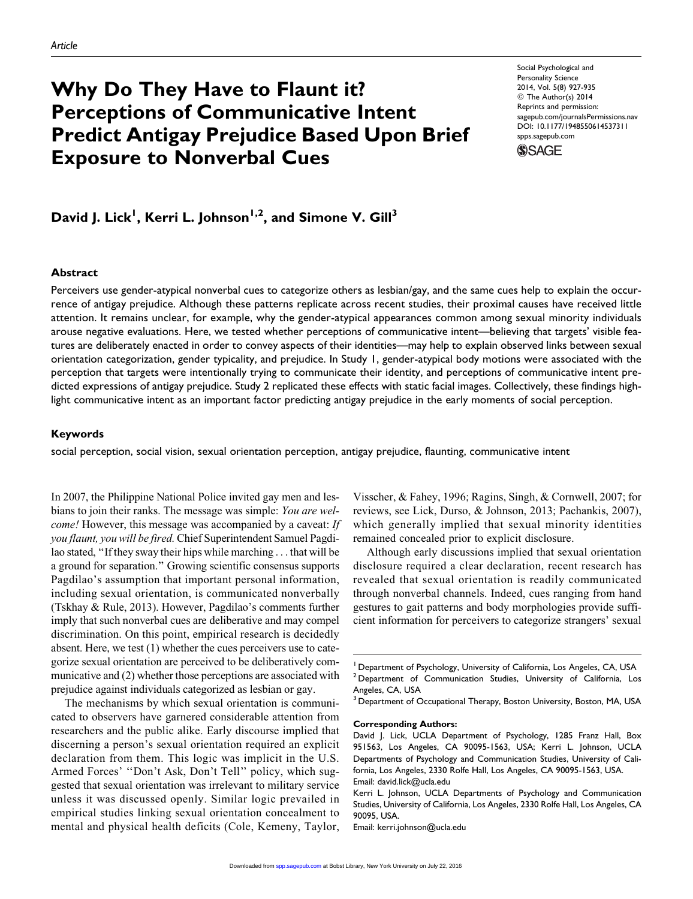# Why Do They Have to Flaunt it? Perceptions of Communicative Intent Predict Antigay Prejudice Based Upon Brief Exposure to Nonverbal Cues

Social Psychological and Personality Science 2014, Vol. 5(8) 927-935 © The Author(s) 2014 Reprints and permission: [sagepub.com/journalsPermissions.nav](http://www.sagepub.com/journalsPermissions.nav) DOI: 10.1177/1948550614537311 [spps.sagepub.com](http://spps.sagepub.com)



David J. Lick<sup>I</sup>, Kerri L. Johnson<sup>1,2</sup>, and Simone V. Gill<sup>3</sup>

#### **Abstract**

Perceivers use gender-atypical nonverbal cues to categorize others as lesbian/gay, and the same cues help to explain the occurrence of antigay prejudice. Although these patterns replicate across recent studies, their proximal causes have received little attention. It remains unclear, for example, why the gender-atypical appearances common among sexual minority individuals arouse negative evaluations. Here, we tested whether perceptions of communicative intent—believing that targets' visible features are deliberately enacted in order to convey aspects of their identities—may help to explain observed links between sexual orientation categorization, gender typicality, and prejudice. In Study 1, gender-atypical body motions were associated with the perception that targets were intentionally trying to communicate their identity, and perceptions of communicative intent predicted expressions of antigay prejudice. Study 2 replicated these effects with static facial images. Collectively, these findings highlight communicative intent as an important factor predicting antigay prejudice in the early moments of social perception.

#### Keywords

social perception, social vision, sexual orientation perception, antigay prejudice, flaunting, communicative intent

In 2007, the Philippine National Police invited gay men and lesbians to join their ranks. The message was simple: You are welcome! However, this message was accompanied by a caveat: If you flaunt, you will be fired. Chief Superintendent Samuel Pagdilao stated, ''If they sway their hips while marching ... that will be a ground for separation.'' Growing scientific consensus supports Pagdilao's assumption that important personal information, including sexual orientation, is communicated nonverbally (Tskhay & Rule, 2013). However, Pagdilao's comments further imply that such nonverbal cues are deliberative and may compel discrimination. On this point, empirical research is decidedly absent. Here, we test (1) whether the cues perceivers use to categorize sexual orientation are perceived to be deliberatively communicative and (2) whether those perceptions are associated with prejudice against individuals categorized as lesbian or gay.

The mechanisms by which sexual orientation is communicated to observers have garnered considerable attention from researchers and the public alike. Early discourse implied that discerning a person's sexual orientation required an explicit declaration from them. This logic was implicit in the U.S. Armed Forces' ''Don't Ask, Don't Tell'' policy, which suggested that sexual orientation was irrelevant to military service unless it was discussed openly. Similar logic prevailed in empirical studies linking sexual orientation concealment to mental and physical health deficits (Cole, Kemeny, Taylor, Visscher, & Fahey, 1996; Ragins, Singh, & Cornwell, 2007; for reviews, see Lick, Durso, & Johnson, 2013; Pachankis, 2007), which generally implied that sexual minority identities remained concealed prior to explicit disclosure.

Although early discussions implied that sexual orientation disclosure required a clear declaration, recent research has revealed that sexual orientation is readily communicated through nonverbal channels. Indeed, cues ranging from hand gestures to gait patterns and body morphologies provide sufficient information for perceivers to categorize strangers' sexual

 $^3$  Department of Occupational Therapy, Boston University, Boston, MA, USA

Corresponding Authors:

Email: kerri.johnson@ucla.edu

<sup>&</sup>lt;sup>1</sup> Department of Psychology, University of California, Los Angeles, CA, USA <sup>2</sup> Department of Communication Studies, University of California, Los Angeles, CA, USA

David J. Lick, UCLA Department of Psychology, 1285 Franz Hall, Box 951563, Los Angeles, CA 90095-1563, USA; Kerri L. Johnson, UCLA Departments of Psychology and Communication Studies, University of California, Los Angeles, 2330 Rolfe Hall, Los Angeles, CA 90095-1563, USA. Email: david.lick@ucla.edu

Kerri L. Johnson, UCLA Departments of Psychology and Communication Studies, University of California, Los Angeles, 2330 Rolfe Hall, Los Angeles, CA 90095, USA.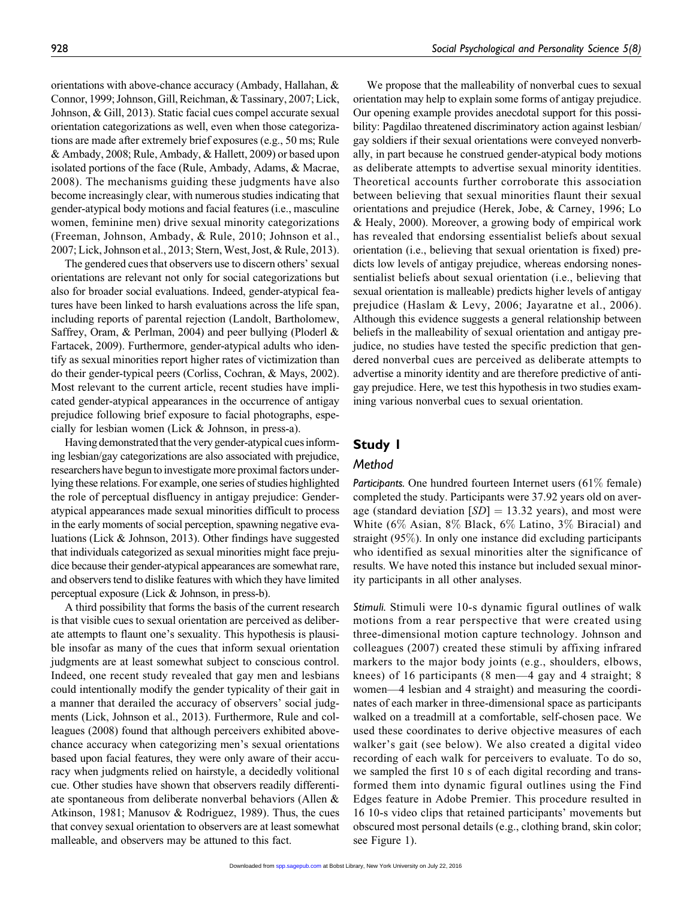orientations with above-chance accuracy (Ambady, Hallahan, & Connor, 1999; Johnson, Gill, Reichman, & Tassinary, 2007; Lick, Johnson, & Gill, 2013). Static facial cues compel accurate sexual orientation categorizations as well, even when those categorizations are made after extremely brief exposures (e.g., 50 ms; Rule & Ambady, 2008; Rule, Ambady, & Hallett, 2009) or based upon isolated portions of the face (Rule, Ambady, Adams, & Macrae, 2008). The mechanisms guiding these judgments have also become increasingly clear, with numerous studies indicating that gender-atypical body motions and facial features (i.e., masculine women, feminine men) drive sexual minority categorizations (Freeman, Johnson, Ambady, & Rule, 2010; Johnson et al., 2007; Lick, Johnson et al., 2013; Stern, West, Jost, & Rule, 2013).

The gendered cues that observers use to discern others' sexual orientations are relevant not only for social categorizations but also for broader social evaluations. Indeed, gender-atypical features have been linked to harsh evaluations across the life span, including reports of parental rejection (Landolt, Bartholomew, Saffrey, Oram, & Perlman, 2004) and peer bullying (Ploderl & Fartacek, 2009). Furthermore, gender-atypical adults who identify as sexual minorities report higher rates of victimization than do their gender-typical peers (Corliss, Cochran, & Mays, 2002). Most relevant to the current article, recent studies have implicated gender-atypical appearances in the occurrence of antigay prejudice following brief exposure to facial photographs, especially for lesbian women (Lick & Johnson, in press-a).

Having demonstrated that the very gender-atypical cues informing lesbian/gay categorizations are also associated with prejudice, researchers have begun to investigate more proximal factors underlying these relations. For example, one series of studies highlighted the role of perceptual disfluency in antigay prejudice: Genderatypical appearances made sexual minorities difficult to process in the early moments of social perception, spawning negative evaluations (Lick & Johnson, 2013). Other findings have suggested that individuals categorized as sexual minorities might face prejudice because their gender-atypical appearances are somewhat rare, and observers tend to dislike features with which they have limited perceptual exposure (Lick & Johnson, in press-b).

A third possibility that forms the basis of the current research is that visible cues to sexual orientation are perceived as deliberate attempts to flaunt one's sexuality. This hypothesis is plausible insofar as many of the cues that inform sexual orientation judgments are at least somewhat subject to conscious control. Indeed, one recent study revealed that gay men and lesbians could intentionally modify the gender typicality of their gait in a manner that derailed the accuracy of observers' social judgments (Lick, Johnson et al., 2013). Furthermore, Rule and colleagues (2008) found that although perceivers exhibited abovechance accuracy when categorizing men's sexual orientations based upon facial features, they were only aware of their accuracy when judgments relied on hairstyle, a decidedly volitional cue. Other studies have shown that observers readily differentiate spontaneous from deliberate nonverbal behaviors (Allen & Atkinson, 1981; Manusov & Rodriguez, 1989). Thus, the cues that convey sexual orientation to observers are at least somewhat malleable, and observers may be attuned to this fact.

We propose that the malleability of nonverbal cues to sexual orientation may help to explain some forms of antigay prejudice. Our opening example provides anecdotal support for this possibility: Pagdilao threatened discriminatory action against lesbian/ gay soldiers if their sexual orientations were conveyed nonverbally, in part because he construed gender-atypical body motions as deliberate attempts to advertise sexual minority identities. Theoretical accounts further corroborate this association between believing that sexual minorities flaunt their sexual orientations and prejudice (Herek, Jobe, & Carney, 1996; Lo & Healy, 2000). Moreover, a growing body of empirical work has revealed that endorsing essentialist beliefs about sexual orientation (i.e., believing that sexual orientation is fixed) predicts low levels of antigay prejudice, whereas endorsing nonessentialist beliefs about sexual orientation (i.e., believing that sexual orientation is malleable) predicts higher levels of antigay prejudice (Haslam & Levy, 2006; Jayaratne et al., 2006). Although this evidence suggests a general relationship between beliefs in the malleability of sexual orientation and antigay prejudice, no studies have tested the specific prediction that gendered nonverbal cues are perceived as deliberate attempts to advertise a minority identity and are therefore predictive of antigay prejudice. Here, we test this hypothesis in two studies examining various nonverbal cues to sexual orientation.

# Study 1

# Method

Participants. One hundred fourteen Internet users  $(61\%$  female) completed the study. Participants were 37.92 years old on average (standard deviation  $[SD] = 13.32$  years), and most were White (6% Asian, 8% Black, 6% Latino, 3% Biracial) and straight (95%). In only one instance did excluding participants who identified as sexual minorities alter the significance of results. We have noted this instance but included sexual minority participants in all other analyses.

Stimuli. Stimuli were 10-s dynamic figural outlines of walk motions from a rear perspective that were created using three-dimensional motion capture technology. Johnson and colleagues (2007) created these stimuli by affixing infrared markers to the major body joints (e.g., shoulders, elbows, knees) of 16 participants (8 men—4 gay and 4 straight; 8 women—4 lesbian and 4 straight) and measuring the coordinates of each marker in three-dimensional space as participants walked on a treadmill at a comfortable, self-chosen pace. We used these coordinates to derive objective measures of each walker's gait (see below). We also created a digital video recording of each walk for perceivers to evaluate. To do so, we sampled the first 10 s of each digital recording and transformed them into dynamic figural outlines using the Find Edges feature in Adobe Premier. This procedure resulted in 16 10-s video clips that retained participants' movements but obscured most personal details (e.g., clothing brand, skin color; see Figure 1).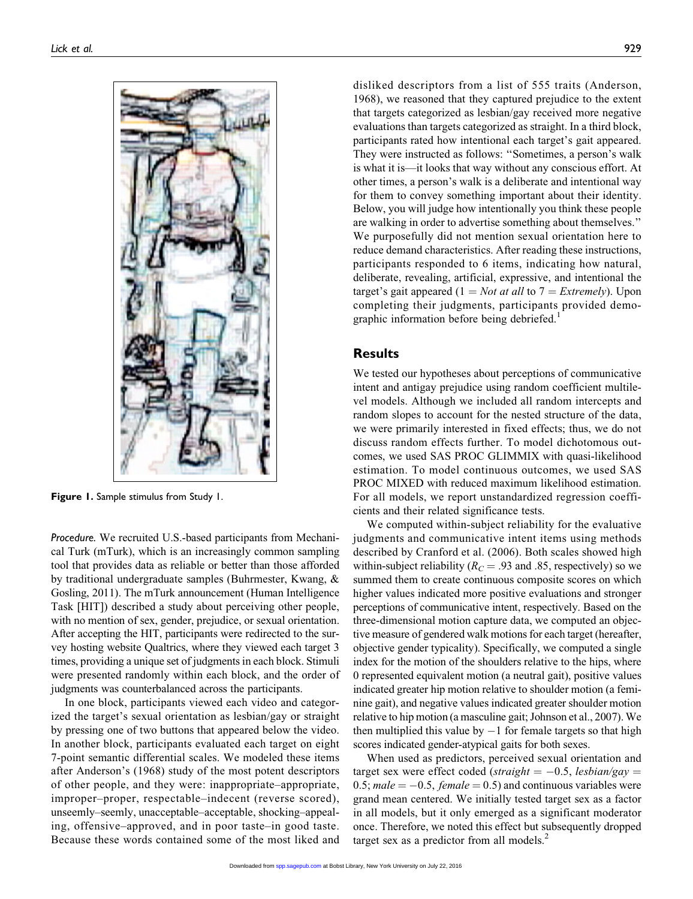

Figure 1. Sample stimulus from Study 1.

Procedure. We recruited U.S.-based participants from Mechanical Turk (mTurk), which is an increasingly common sampling tool that provides data as reliable or better than those afforded by traditional undergraduate samples (Buhrmester, Kwang, & Gosling, 2011). The mTurk announcement (Human Intelligence Task [HIT]) described a study about perceiving other people, with no mention of sex, gender, prejudice, or sexual orientation. After accepting the HIT, participants were redirected to the survey hosting website Qualtrics, where they viewed each target 3 times, providing a unique set of judgments in each block. Stimuli were presented randomly within each block, and the order of judgments was counterbalanced across the participants.

In one block, participants viewed each video and categorized the target's sexual orientation as lesbian/gay or straight by pressing one of two buttons that appeared below the video. In another block, participants evaluated each target on eight 7-point semantic differential scales. We modeled these items after Anderson's (1968) study of the most potent descriptors of other people, and they were: inappropriate–appropriate, improper–proper, respectable–indecent (reverse scored), unseemly–seemly, unacceptable–acceptable, shocking–appealing, offensive–approved, and in poor taste–in good taste. Because these words contained some of the most liked and

disliked descriptors from a list of 555 traits (Anderson, 1968), we reasoned that they captured prejudice to the extent that targets categorized as lesbian/gay received more negative evaluations than targets categorized as straight. In a third block, participants rated how intentional each target's gait appeared. They were instructed as follows: ''Sometimes, a person's walk is what it is—it looks that way without any conscious effort. At other times, a person's walk is a deliberate and intentional way for them to convey something important about their identity. Below, you will judge how intentionally you think these people are walking in order to advertise something about themselves.'' We purposefully did not mention sexual orientation here to reduce demand characteristics. After reading these instructions, participants responded to 6 items, indicating how natural, deliberate, revealing, artificial, expressive, and intentional the target's gait appeared (1 = Not at all to 7 = Extremely). Upon completing their judgments, participants provided demographic information before being debriefed.<sup>1</sup>

### Results

We tested our hypotheses about perceptions of communicative intent and antigay prejudice using random coefficient multilevel models. Although we included all random intercepts and random slopes to account for the nested structure of the data, we were primarily interested in fixed effects; thus, we do not discuss random effects further. To model dichotomous outcomes, we used SAS PROC GLIMMIX with quasi-likelihood estimation. To model continuous outcomes, we used SAS PROC MIXED with reduced maximum likelihood estimation. For all models, we report unstandardized regression coefficients and their related significance tests.

We computed within-subject reliability for the evaluative judgments and communicative intent items using methods described by Cranford et al. (2006). Both scales showed high within-subject reliability ( $R_C = .93$  and .85, respectively) so we summed them to create continuous composite scores on which higher values indicated more positive evaluations and stronger perceptions of communicative intent, respectively. Based on the three-dimensional motion capture data, we computed an objective measure of gendered walk motions for each target (hereafter, objective gender typicality). Specifically, we computed a single index for the motion of the shoulders relative to the hips, where 0 represented equivalent motion (a neutral gait), positive values indicated greater hip motion relative to shoulder motion (a feminine gait), and negative values indicated greater shoulder motion relative to hip motion (a masculine gait; Johnson et al., 2007).We then multiplied this value by  $-1$  for female targets so that high scores indicated gender-atypical gaits for both sexes.

When used as predictors, perceived sexual orientation and target sex were effect coded (straight  $= -0.5$ , lesbian/gay  $=$ 0.5; male  $= -0.5$ , female  $= 0.5$ ) and continuous variables were grand mean centered. We initially tested target sex as a factor in all models, but it only emerged as a significant moderator once. Therefore, we noted this effect but subsequently dropped target sex as a predictor from all models. $<sup>2</sup>$ </sup>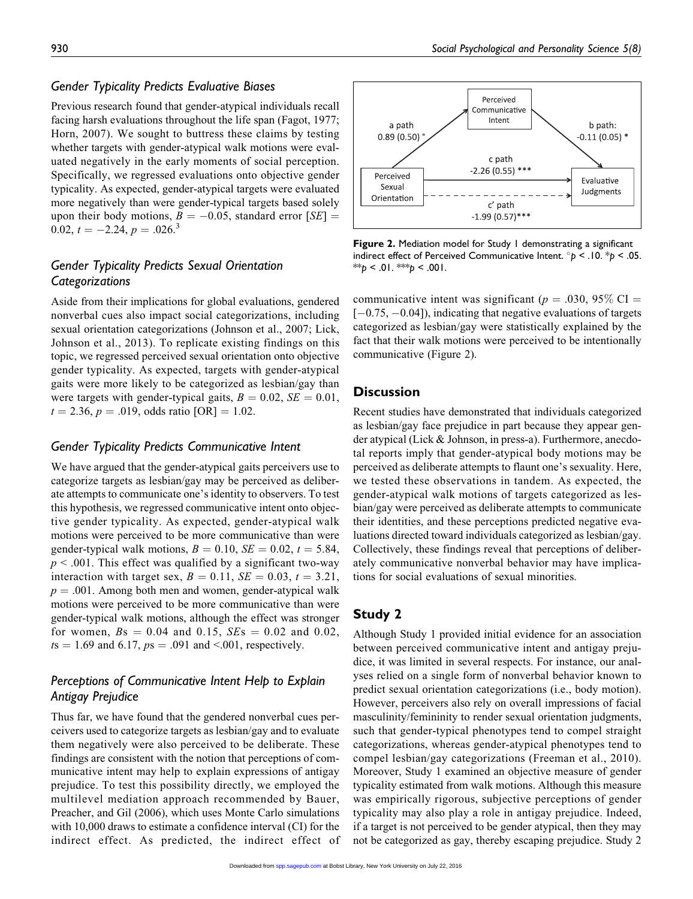#### Gender Typicality Predicts Evaluative Biases

Previous research found that gender-atypical individuals recall facing harsh evaluations throughout the life span (Fagot, 1977; Horn, 2007). We sought to buttress these claims by testing whether targets with gender-atypical walk motions were evaluated negatively in the early moments of social perception. Specifically, we regressed evaluations onto objective gender typicality. As expected, gender-atypical targets were evaluated more negatively than were gender-typical targets based solely upon their body motions,  $B = -0.05$ , standard error [SE] = 0.02,  $t = -2.24, p = .026$ <sup>3</sup>

# Gender Typicality Predicts Sexual Orientation **Categorizations**

Aside from their implications for global evaluations, gendered nonverbal cues also impact social categorizations, including sexual orientation categorizations (Johnson et al., 2007; Lick, Johnson et al., 2013). To replicate existing findings on this topic, we regressed perceived sexual orientation onto objective gender typicality. As expected, targets with gender-atypical gaits were more likely to be categorized as lesbian/gay than were targets with gender-typical gaits,  $B = 0.02$ ,  $SE = 0.01$ ,  $t = 2.36$ ,  $p = .019$ , odds ratio [OR] = 1.02.

#### Gender Typicality Predicts Communicative Intent

We have argued that the gender-atypical gaits perceivers use to categorize targets as lesbian/gay may be perceived as deliberate attempts to communicate one's identity to observers. To test this hypothesis, we regressed communicative intent onto objective gender typicality. As expected, gender-atypical walk motions were perceived to be more communicative than were gender-typical walk motions,  $B = 0.10$ ,  $SE = 0.02$ ,  $t = 5.84$ ,  $p < .001$ . This effect was qualified by a significant two-way interaction with target sex,  $B = 0.11$ ,  $SE = 0.03$ ,  $t = 3.21$ ,  $p = .001$ . Among both men and women, gender-atypical walk motions were perceived to be more communicative than were gender-typical walk motions, although the effect was stronger for women,  $Bs = 0.04$  and 0.15,  $SEs = 0.02$  and 0.02,  $ts = 1.69$  and 6.17,  $ps = .091$  and <.001, respectively.

# Perceptions of Communicative Intent Help to Explain Antigay Prejudice

Thus far, we have found that the gendered nonverbal cues perceivers used to categorize targets as lesbian/gay and to evaluate them negatively were also perceived to be deliberate. These findings are consistent with the notion that perceptions of communicative intent may help to explain expressions of antigay prejudice. To test this possibility directly, we employed the multilevel mediation approach recommended by Bauer, Preacher, and Gil (2006), which uses Monte Carlo simulations with 10,000 draws to estimate a confidence interval (CI) for the indirect effect. As predicted, the indirect effect of



Figure 2. Mediation model for Study 1 demonstrating a significant indirect effect of Perceived Communicative Intent.  $\degree p$  < .10.  $\degree p$  < .05. \*\*p < .01. \*\*\*p < .001.

communicative intent was significant ( $p = .030, 95\%$  CI =  $[-0.75, -0.04]$ , indicating that negative evaluations of targets categorized as lesbian/gay were statistically explained by the fact that their walk motions were perceived to be intentionally communicative (Figure 2).

### **Discussion**

Recent studies have demonstrated that individuals categorized as lesbian/gay face prejudice in part because they appear gender atypical (Lick & Johnson, in press-a). Furthermore, anecdotal reports imply that gender-atypical body motions may be perceived as deliberate attempts to flaunt one's sexuality. Here, we tested these observations in tandem. As expected, the gender-atypical walk motions of targets categorized as lesbian/gay were perceived as deliberate attempts to communicate their identities, and these perceptions predicted negative evaluations directed toward individuals categorized as lesbian/gay. Collectively, these findings reveal that perceptions of deliberately communicative nonverbal behavior may have implications for social evaluations of sexual minorities.

# Study 2

Although Study 1 provided initial evidence for an association between perceived communicative intent and antigay prejudice, it was limited in several respects. For instance, our analyses relied on a single form of nonverbal behavior known to predict sexual orientation categorizations (i.e., body motion). However, perceivers also rely on overall impressions of facial masculinity/femininity to render sexual orientation judgments, such that gender-typical phenotypes tend to compel straight categorizations, whereas gender-atypical phenotypes tend to compel lesbian/gay categorizations (Freeman et al., 2010). Moreover, Study 1 examined an objective measure of gender typicality estimated from walk motions. Although this measure was empirically rigorous, subjective perceptions of gender typicality may also play a role in antigay prejudice. Indeed, if a target is not perceived to be gender atypical, then they may not be categorized as gay, thereby escaping prejudice. Study 2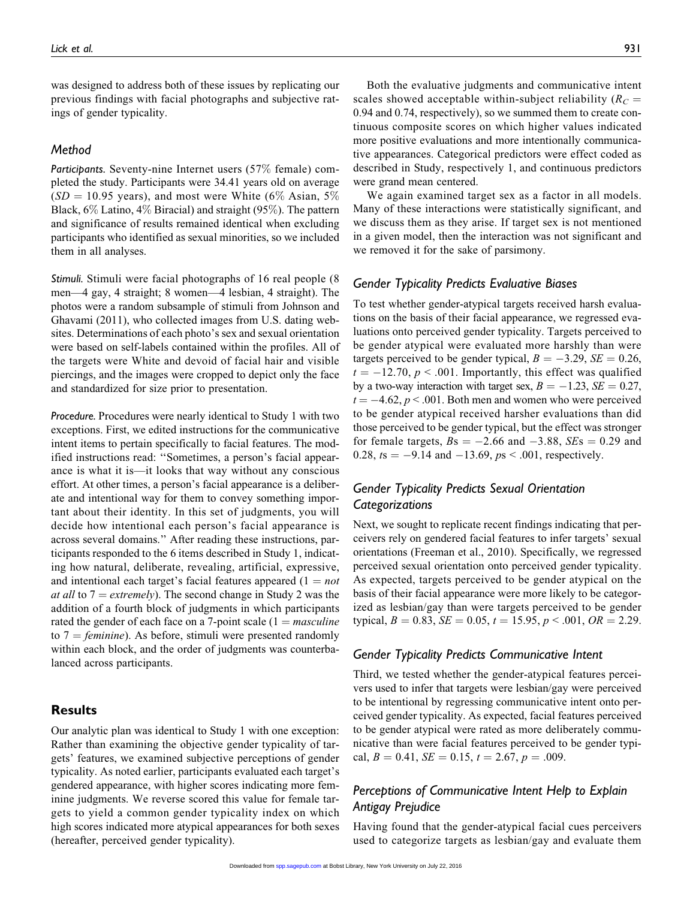was designed to address both of these issues by replicating our previous findings with facial photographs and subjective ratings of gender typicality.

#### Method

Participants. Seventy-nine Internet users (57% female) completed the study. Participants were 34.41 years old on average  $(SD = 10.95$  years), and most were White (6% Asian, 5%) Black, 6% Latino, 4% Biracial) and straight (95%). The pattern and significance of results remained identical when excluding participants who identified as sexual minorities, so we included them in all analyses.

Stimuli. Stimuli were facial photographs of 16 real people (8 men—4 gay, 4 straight; 8 women—4 lesbian, 4 straight). The photos were a random subsample of stimuli from Johnson and Ghavami (2011), who collected images from U.S. dating websites. Determinations of each photo's sex and sexual orientation were based on self-labels contained within the profiles. All of the targets were White and devoid of facial hair and visible piercings, and the images were cropped to depict only the face and standardized for size prior to presentation.

Procedure. Procedures were nearly identical to Study 1 with two exceptions. First, we edited instructions for the communicative intent items to pertain specifically to facial features. The modified instructions read: ''Sometimes, a person's facial appearance is what it is—it looks that way without any conscious effort. At other times, a person's facial appearance is a deliberate and intentional way for them to convey something important about their identity. In this set of judgments, you will decide how intentional each person's facial appearance is across several domains.'' After reading these instructions, participants responded to the 6 items described in Study 1, indicating how natural, deliberate, revealing, artificial, expressive, and intentional each target's facial features appeared  $(1 = not$ *at all* to  $7 =$  *extremely*). The second change in Study 2 was the addition of a fourth block of judgments in which participants rated the gender of each face on a 7-point scale  $(1 = *maxculine*)$ to  $7 = \text{feminine}$ ). As before, stimuli were presented randomly within each block, and the order of judgments was counterbalanced across participants.

#### Results

Our analytic plan was identical to Study 1 with one exception: Rather than examining the objective gender typicality of targets' features, we examined subjective perceptions of gender typicality. As noted earlier, participants evaluated each target's gendered appearance, with higher scores indicating more feminine judgments. We reverse scored this value for female targets to yield a common gender typicality index on which high scores indicated more atypical appearances for both sexes (hereafter, perceived gender typicality).

Both the evaluative judgments and communicative intent scales showed acceptable within-subject reliability ( $R_C$  = 0.94 and 0.74, respectively), so we summed them to create continuous composite scores on which higher values indicated more positive evaluations and more intentionally communicative appearances. Categorical predictors were effect coded as described in Study, respectively 1, and continuous predictors were grand mean centered.

We again examined target sex as a factor in all models. Many of these interactions were statistically significant, and we discuss them as they arise. If target sex is not mentioned in a given model, then the interaction was not significant and we removed it for the sake of parsimony.

#### Gender Typicality Predicts Evaluative Biases

To test whether gender-atypical targets received harsh evaluations on the basis of their facial appearance, we regressed evaluations onto perceived gender typicality. Targets perceived to be gender atypical were evaluated more harshly than were targets perceived to be gender typical,  $B = -3.29$ ,  $SE = 0.26$ ,  $t = -12.70, p \leq .001$ . Importantly, this effect was qualified by a two-way interaction with target sex,  $B = -1.23$ ,  $SE = 0.27$ ,  $t = -4.62, p < .001$ . Both men and women who were perceived to be gender atypical received harsher evaluations than did those perceived to be gender typical, but the effect was stronger for female targets,  $Bs = -2.66$  and  $-3.88$ ,  $SEs = 0.29$  and 0.28,  $ts = -9.14$  and  $-13.69$ ,  $ps < .001$ , respectively.

# Gender Typicality Predicts Sexual Orientation Categorizations

Next, we sought to replicate recent findings indicating that perceivers rely on gendered facial features to infer targets' sexual orientations (Freeman et al., 2010). Specifically, we regressed perceived sexual orientation onto perceived gender typicality. As expected, targets perceived to be gender atypical on the basis of their facial appearance were more likely to be categorized as lesbian/gay than were targets perceived to be gender typical,  $B = 0.83$ ,  $SE = 0.05$ ,  $t = 15.95$ ,  $p < .001$ ,  $OR = 2.29$ .

#### Gender Typicality Predicts Communicative Intent

Third, we tested whether the gender-atypical features perceivers used to infer that targets were lesbian/gay were perceived to be intentional by regressing communicative intent onto perceived gender typicality. As expected, facial features perceived to be gender atypical were rated as more deliberately communicative than were facial features perceived to be gender typical,  $B = 0.41$ ,  $SE = 0.15$ ,  $t = 2.67$ ,  $p = .009$ .

# Perceptions of Communicative Intent Help to Explain Antigay Prejudice

Having found that the gender-atypical facial cues perceivers used to categorize targets as lesbian/gay and evaluate them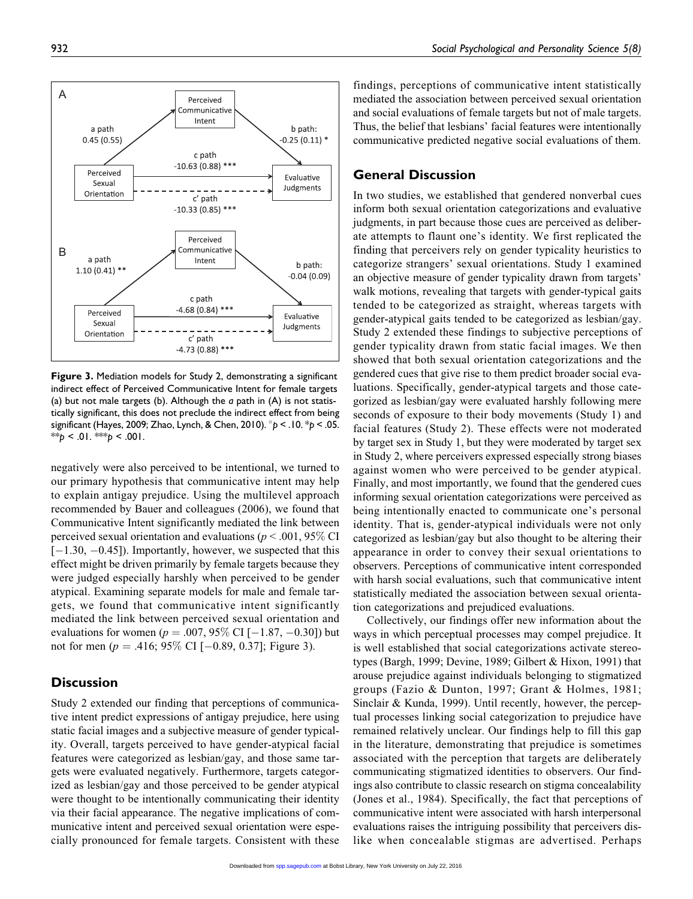findings, perceptions of communicative intent statistically mediated the association between perceived sexual orientation and social evaluations of female targets but not of male targets. Thus, the belief that lesbians' facial features were intentionally communicative predicted negative social evaluations of them.

### General Discussion

In two studies, we established that gendered nonverbal cues inform both sexual orientation categorizations and evaluative judgments, in part because those cues are perceived as deliberate attempts to flaunt one's identity. We first replicated the finding that perceivers rely on gender typicality heuristics to categorize strangers' sexual orientations. Study 1 examined an objective measure of gender typicality drawn from targets' walk motions, revealing that targets with gender-typical gaits tended to be categorized as straight, whereas targets with gender-atypical gaits tended to be categorized as lesbian/gay. Study 2 extended these findings to subjective perceptions of gender typicality drawn from static facial images. We then showed that both sexual orientation categorizations and the gendered cues that give rise to them predict broader social evaluations. Specifically, gender-atypical targets and those categorized as lesbian/gay were evaluated harshly following mere seconds of exposure to their body movements (Study 1) and facial features (Study 2). These effects were not moderated by target sex in Study 1, but they were moderated by target sex in Study 2, where perceivers expressed especially strong biases against women who were perceived to be gender atypical. Finally, and most importantly, we found that the gendered cues informing sexual orientation categorizations were perceived as being intentionally enacted to communicate one's personal identity. That is, gender-atypical individuals were not only categorized as lesbian/gay but also thought to be altering their appearance in order to convey their sexual orientations to observers. Perceptions of communicative intent corresponded with harsh social evaluations, such that communicative intent statistically mediated the association between sexual orientation categorizations and prejudiced evaluations.

Collectively, our findings offer new information about the ways in which perceptual processes may compel prejudice. It is well established that social categorizations activate stereotypes (Bargh, 1999; Devine, 1989; Gilbert & Hixon, 1991) that arouse prejudice against individuals belonging to stigmatized groups (Fazio & Dunton, 1997; Grant & Holmes, 1981; Sinclair & Kunda, 1999). Until recently, however, the perceptual processes linking social categorization to prejudice have remained relatively unclear. Our findings help to fill this gap in the literature, demonstrating that prejudice is sometimes associated with the perception that targets are deliberately communicating stigmatized identities to observers. Our findings also contribute to classic research on stigma concealability (Jones et al., 1984). Specifically, the fact that perceptions of communicative intent were associated with harsh interpersonal evaluations raises the intriguing possibility that perceivers dislike when concealable stigmas are advertised. Perhaps

negatively were also perceived to be intentional, we turned to our primary hypothesis that communicative intent may help to explain antigay prejudice. Using the multilevel approach recommended by Bauer and colleagues (2006), we found that Communicative Intent significantly mediated the link between perceived sexual orientation and evaluations ( $p < .001$ , 95% CI  $[-1.30, -0.45]$ ). Importantly, however, we suspected that this effect might be driven primarily by female targets because they were judged especially harshly when perceived to be gender atypical. Examining separate models for male and female targets, we found that communicative intent significantly mediated the link between perceived sexual orientation and evaluations for women ( $p = .007, 95\%$  CI [ $-1.87, -0.30$ ]) but not for men ( $p = .416$ ; 95% CI [ $-0.89$ , 0.37]; Figure 3).

### **Discussion**

Study 2 extended our finding that perceptions of communicative intent predict expressions of antigay prejudice, here using static facial images and a subjective measure of gender typicality. Overall, targets perceived to have gender-atypical facial features were categorized as lesbian/gay, and those same targets were evaluated negatively. Furthermore, targets categorized as lesbian/gay and those perceived to be gender atypical were thought to be intentionally communicating their identity via their facial appearance. The negative implications of communicative intent and perceived sexual orientation were especially pronounced for female targets. Consistent with these

Orientation c' path  $-4.73(0.88)$ \*\*\* Figure 3. Mediation models for Study 2, demonstrating a significant indirect effect of Perceived Communicative Intent for female targets (a) but not male targets (b). Although the  $a$  path in  $(A)$  is not statistically significant, this does not preclude the indirect effect from being significant (Hayes, 2009; Zhao, Lynch, & Chen, 2010).  $\degree p$  < .10.  $\degree p$  < .05. \*\* $p < 01$ . \*\*\* $p < 001$ .

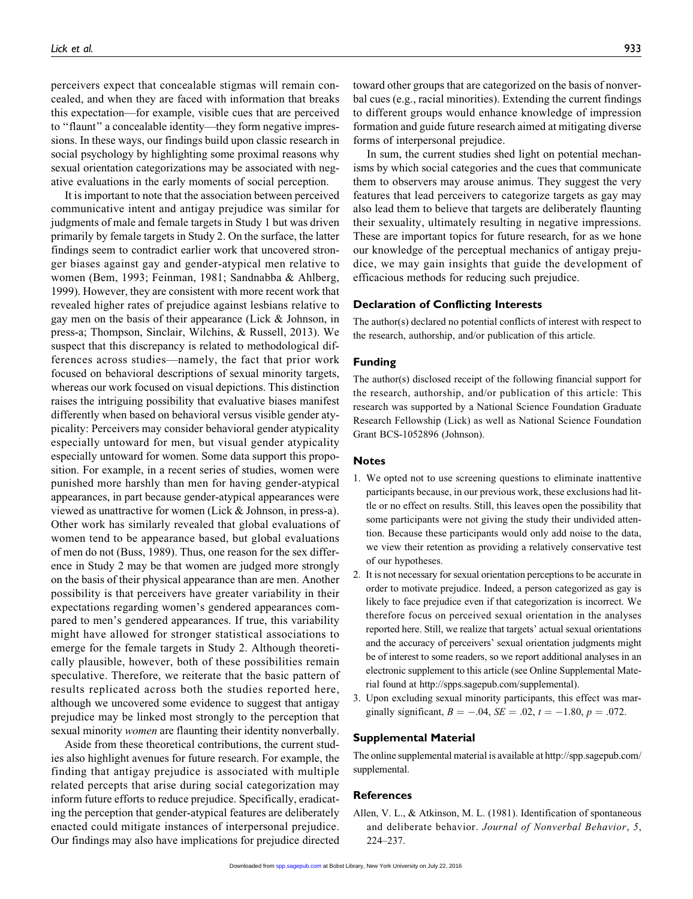perceivers expect that concealable stigmas will remain concealed, and when they are faced with information that breaks this expectation—for example, visible cues that are perceived to ''flaunt'' a concealable identity—they form negative impressions. In these ways, our findings build upon classic research in social psychology by highlighting some proximal reasons why sexual orientation categorizations may be associated with negative evaluations in the early moments of social perception.

It is important to note that the association between perceived communicative intent and antigay prejudice was similar for judgments of male and female targets in Study 1 but was driven primarily by female targets in Study 2. On the surface, the latter findings seem to contradict earlier work that uncovered stronger biases against gay and gender-atypical men relative to women (Bem, 1993; Feinman, 1981; Sandnabba & Ahlberg, 1999). However, they are consistent with more recent work that revealed higher rates of prejudice against lesbians relative to gay men on the basis of their appearance (Lick & Johnson, in press-a; Thompson, Sinclair, Wilchins, & Russell, 2013). We suspect that this discrepancy is related to methodological differences across studies—namely, the fact that prior work focused on behavioral descriptions of sexual minority targets, whereas our work focused on visual depictions. This distinction raises the intriguing possibility that evaluative biases manifest differently when based on behavioral versus visible gender atypicality: Perceivers may consider behavioral gender atypicality especially untoward for men, but visual gender atypicality especially untoward for women. Some data support this proposition. For example, in a recent series of studies, women were punished more harshly than men for having gender-atypical appearances, in part because gender-atypical appearances were viewed as unattractive for women (Lick & Johnson, in press-a). Other work has similarly revealed that global evaluations of women tend to be appearance based, but global evaluations of men do not (Buss, 1989). Thus, one reason for the sex difference in Study 2 may be that women are judged more strongly on the basis of their physical appearance than are men. Another possibility is that perceivers have greater variability in their expectations regarding women's gendered appearances compared to men's gendered appearances. If true, this variability might have allowed for stronger statistical associations to emerge for the female targets in Study 2. Although theoretically plausible, however, both of these possibilities remain speculative. Therefore, we reiterate that the basic pattern of results replicated across both the studies reported here, although we uncovered some evidence to suggest that antigay prejudice may be linked most strongly to the perception that sexual minority women are flaunting their identity nonverbally.

Aside from these theoretical contributions, the current studies also highlight avenues for future research. For example, the finding that antigay prejudice is associated with multiple related percepts that arise during social categorization may inform future efforts to reduce prejudice. Specifically, eradicating the perception that gender-atypical features are deliberately enacted could mitigate instances of interpersonal prejudice. Our findings may also have implications for prejudice directed toward other groups that are categorized on the basis of nonverbal cues (e.g., racial minorities). Extending the current findings to different groups would enhance knowledge of impression formation and guide future research aimed at mitigating diverse forms of interpersonal prejudice.

In sum, the current studies shed light on potential mechanisms by which social categories and the cues that communicate them to observers may arouse animus. They suggest the very features that lead perceivers to categorize targets as gay may also lead them to believe that targets are deliberately flaunting their sexuality, ultimately resulting in negative impressions. These are important topics for future research, for as we hone our knowledge of the perceptual mechanics of antigay prejudice, we may gain insights that guide the development of efficacious methods for reducing such prejudice.

#### Declaration of Conflicting Interests

The author(s) declared no potential conflicts of interest with respect to the research, authorship, and/or publication of this article.

#### Funding

The author(s) disclosed receipt of the following financial support for the research, authorship, and/or publication of this article: This research was supported by a National Science Foundation Graduate Research Fellowship (Lick) as well as National Science Foundation Grant BCS-1052896 (Johnson).

#### Notes

- 1. We opted not to use screening questions to eliminate inattentive participants because, in our previous work, these exclusions had little or no effect on results. Still, this leaves open the possibility that some participants were not giving the study their undivided attention. Because these participants would only add noise to the data, we view their retention as providing a relatively conservative test of our hypotheses.
- 2. It is not necessary for sexual orientation perceptions to be accurate in order to motivate prejudice. Indeed, a person categorized as gay is likely to face prejudice even if that categorization is incorrect. We therefore focus on perceived sexual orientation in the analyses reported here. Still, we realize that targets' actual sexual orientations and the accuracy of perceivers' sexual orientation judgments might be of interest to some readers, so we report additional analyses in an electronic supplement to this article (see Online Supplemental Material found at http://spps.sagepub.com/supplemental).
- 3. Upon excluding sexual minority participants, this effect was marginally significant,  $B = -.04$ ,  $SE = .02$ ,  $t = -1.80$ ,  $p = .072$ .

#### Supplemental Material

The online supplemental material is available at [http://spp.sagepub.com/](http://spp.sagepub.com/supplemental) [supplemental](http://spp.sagepub.com/supplemental).

#### References

Allen, V. L., & Atkinson, M. L. (1981). Identification of spontaneous and deliberate behavior. Journal of Nonverbal Behavior, 5, 224–237.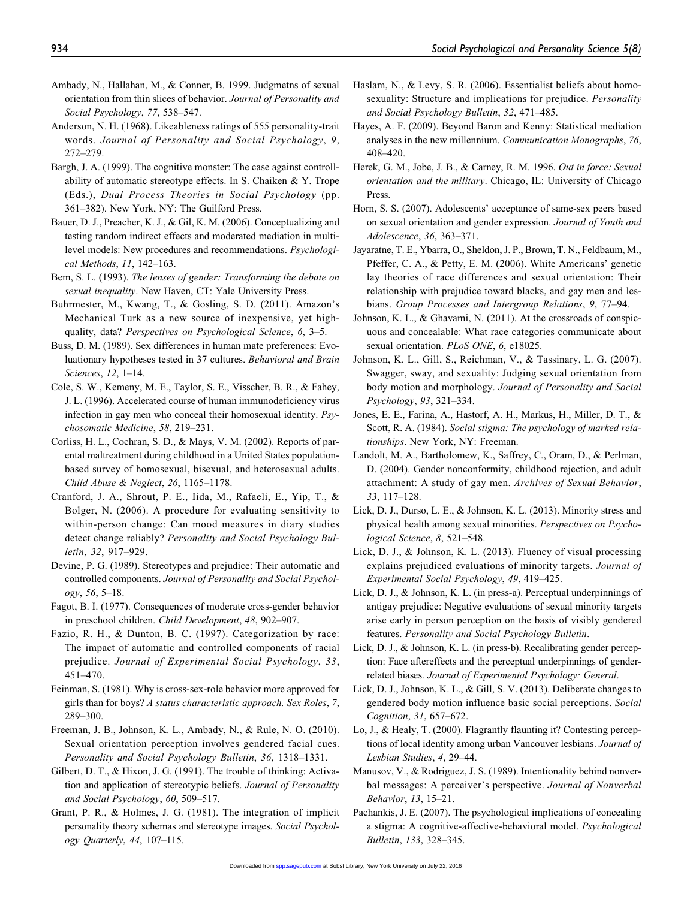- Ambady, N., Hallahan, M., & Conner, B. 1999. Judgmetns of sexual orientation from thin slices of behavior. Journal of Personality and Social Psychology, 77, 538–547.
- Anderson, N. H. (1968). Likeableness ratings of 555 personality-trait words. Journal of Personality and Social Psychology, 9, 272–279.
- Bargh, J. A. (1999). The cognitive monster: The case against controllability of automatic stereotype effects. In S. Chaiken & Y. Trope (Eds.), Dual Process Theories in Social Psychology (pp. 361–382). New York, NY: The Guilford Press.
- Bauer, D. J., Preacher, K. J., & Gil, K. M. (2006). Conceptualizing and testing random indirect effects and moderated mediation in multilevel models: New procedures and recommendations. Psychological Methods, 11, 142–163.
- Bem, S. L. (1993). The lenses of gender: Transforming the debate on sexual inequality. New Haven, CT: Yale University Press.
- Buhrmester, M., Kwang, T., & Gosling, S. D. (2011). Amazon's Mechanical Turk as a new source of inexpensive, yet highquality, data? Perspectives on Psychological Science, 6, 3–5.
- Buss, D. M. (1989). Sex differences in human mate preferences: Evoluationary hypotheses tested in 37 cultures. Behavioral and Brain Sciences, 12, 1–14.
- Cole, S. W., Kemeny, M. E., Taylor, S. E., Visscher, B. R., & Fahey, J. L. (1996). Accelerated course of human immunodeficiency virus infection in gay men who conceal their homosexual identity. Psychosomatic Medicine, 58, 219–231.
- Corliss, H. L., Cochran, S. D., & Mays, V. M. (2002). Reports of parental maltreatment during childhood in a United States populationbased survey of homosexual, bisexual, and heterosexual adults. Child Abuse & Neglect, 26, 1165–1178.
- Cranford, J. A., Shrout, P. E., Iida, M., Rafaeli, E., Yip, T., & Bolger, N. (2006). A procedure for evaluating sensitivity to within-person change: Can mood measures in diary studies detect change reliably? Personality and Social Psychology Bulletin, 32, 917–929.
- Devine, P. G. (1989). Stereotypes and prejudice: Their automatic and controlled components. Journal of Personality and Social Psychology, 56, 5–18.
- Fagot, B. I. (1977). Consequences of moderate cross-gender behavior in preschool children. Child Development, 48, 902–907.
- Fazio, R. H., & Dunton, B. C. (1997). Categorization by race: The impact of automatic and controlled components of racial prejudice. Journal of Experimental Social Psychology, 33, 451–470.
- Feinman, S. (1981). Why is cross-sex-role behavior more approved for girls than for boys? A status characteristic approach. Sex Roles, 7, 289–300.
- Freeman, J. B., Johnson, K. L., Ambady, N., & Rule, N. O. (2010). Sexual orientation perception involves gendered facial cues. Personality and Social Psychology Bulletin, 36, 1318–1331.
- Gilbert, D. T., & Hixon, J. G. (1991). The trouble of thinking: Activation and application of stereotypic beliefs. Journal of Personality and Social Psychology, 60, 509–517.
- Grant, P. R., & Holmes, J. G. (1981). The integration of implicit personality theory schemas and stereotype images. Social Psychology Quarterly, 44, 107–115.
- Haslam, N., & Levy, S. R. (2006). Essentialist beliefs about homosexuality: Structure and implications for prejudice. *Personality* and Social Psychology Bulletin, 32, 471–485.
- Hayes, A. F. (2009). Beyond Baron and Kenny: Statistical mediation analyses in the new millennium. Communication Monographs, 76, 408–420.
- Herek, G. M., Jobe, J. B., & Carney, R. M. 1996. Out in force: Sexual orientation and the military. Chicago, IL: University of Chicago Press.
- Horn, S. S. (2007). Adolescents' acceptance of same-sex peers based on sexual orientation and gender expression. Journal of Youth and Adolescence, 36, 363–371.
- Jayaratne, T. E., Ybarra, O., Sheldon, J. P., Brown, T. N., Feldbaum, M., Pfeffer, C. A., & Petty, E. M. (2006). White Americans' genetic lay theories of race differences and sexual orientation: Their relationship with prejudice toward blacks, and gay men and lesbians. Group Processes and Intergroup Relations, 9, 77–94.
- Johnson, K. L., & Ghavami, N. (2011). At the crossroads of conspicuous and concealable: What race categories communicate about sexual orientation. PLoS ONE, 6, e18025.
- Johnson, K. L., Gill, S., Reichman, V., & Tassinary, L. G. (2007). Swagger, sway, and sexuality: Judging sexual orientation from body motion and morphology. Journal of Personality and Social Psychology, 93, 321–334.
- Jones, E. E., Farina, A., Hastorf, A. H., Markus, H., Miller, D. T., & Scott, R. A. (1984). Social stigma: The psychology of marked relationships. New York, NY: Freeman.
- Landolt, M. A., Bartholomew, K., Saffrey, C., Oram, D., & Perlman, D. (2004). Gender nonconformity, childhood rejection, and adult attachment: A study of gay men. Archives of Sexual Behavior, 33, 117–128.
- Lick, D. J., Durso, L. E., & Johnson, K. L. (2013). Minority stress and physical health among sexual minorities. Perspectives on Psychological Science, 8, 521–548.
- Lick, D. J., & Johnson, K. L. (2013). Fluency of visual processing explains prejudiced evaluations of minority targets. Journal of Experimental Social Psychology, 49, 419–425.
- Lick, D. J., & Johnson, K. L. (in press-a). Perceptual underpinnings of antigay prejudice: Negative evaluations of sexual minority targets arise early in person perception on the basis of visibly gendered features. Personality and Social Psychology Bulletin.
- Lick, D. J., & Johnson, K. L. (in press-b). Recalibrating gender perception: Face aftereffects and the perceptual underpinnings of genderrelated biases. Journal of Experimental Psychology: General.
- Lick, D. J., Johnson, K. L., & Gill, S. V. (2013). Deliberate changes to gendered body motion influence basic social perceptions. Social Cognition, 31, 657–672.
- Lo, J., & Healy, T. (2000). Flagrantly flaunting it? Contesting perceptions of local identity among urban Vancouver lesbians. Journal of Lesbian Studies, 4, 29–44.
- Manusov, V., & Rodriguez, J. S. (1989). Intentionality behind nonverbal messages: A perceiver's perspective. Journal of Nonverbal Behavior, 13, 15–21.
- Pachankis, J. E. (2007). The psychological implications of concealing a stigma: A cognitive-affective-behavioral model. Psychological Bulletin, 133, 328–345.